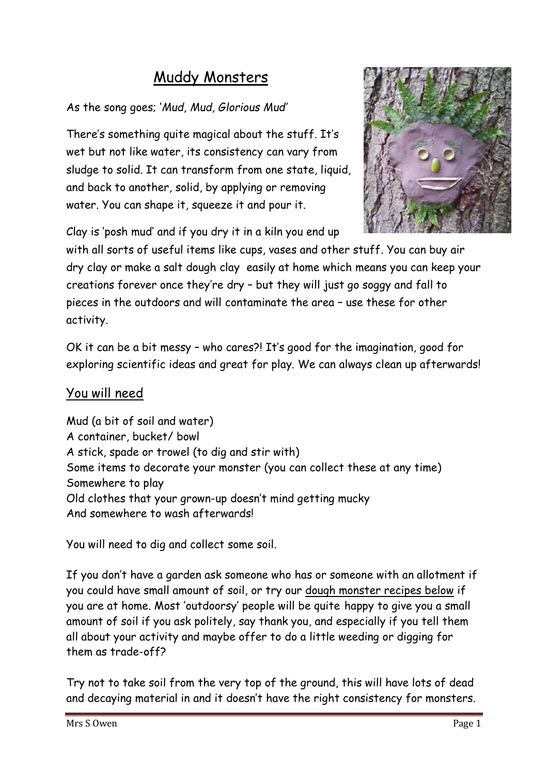# Muddy Monsters

### As the song goes; '*Mud, Mud, Glorious Mud'*

There's something quite magical about the stuff. It's wet but not like water, its consistency can vary from sludge to solid. It can transform from one state, liquid, and back to another, solid, by applying or removing water. You can shape it, squeeze it and pour it.



Clay is 'posh mud' and if you dry it in a kiln you end up

with all sorts of useful items like cups, vases and other stuff. You can buy air dry clay or make a salt dough clay easily at home which means you can keep your creations forever once they're dry – but they will just go soggy and fall to pieces in the outdoors and will contaminate the area – use these for other activity.

OK it can be a bit messy – who cares?! It's good for the imagination, good for exploring scientific ideas and great for play. We can always clean up afterwards!

## You will need

Mud (a bit of soil and water) A container, bucket/ bowl A stick, spade or trowel (to dig and stir with) Some items to decorate your monster (you can collect these at any time) Somewhere to play Old clothes that your grown-up doesn't mind getting mucky And somewhere to wash afterwards!

You will need to dig and collect some soil.

If you don't have a garden ask someone who has or someone with an allotment if you could have small amount of soil, or try our dough monster recipes below if you are at home. Most 'outdoorsy' people will be quite happy to give you a small amount of soil if you ask politely, say thank you, and especially if you tell them all about your activity and maybe offer to do a little weeding or digging for them as trade-off?

Try not to take soil from the very top of the ground, this will have lots of dead and decaying material in and it doesn't have the right consistency for monsters.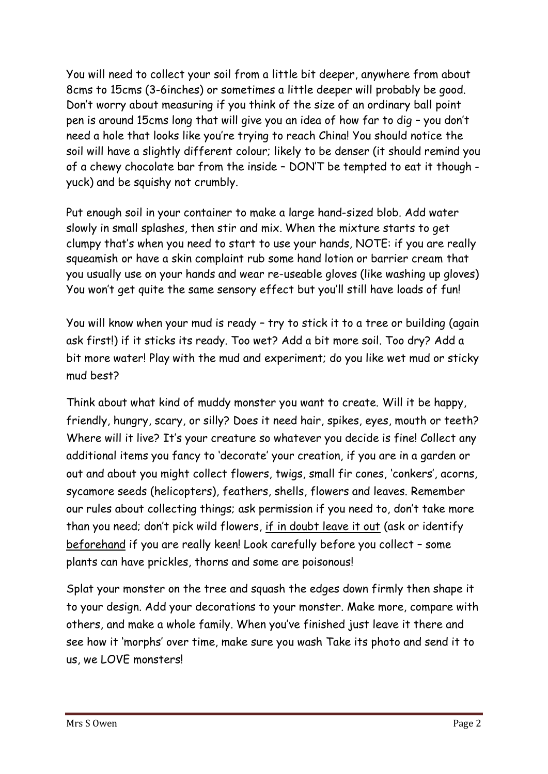You will need to collect your soil from a little bit deeper, anywhere from about 8cms to 15cms (3-6inches) or sometimes a little deeper will probably be good. Don't worry about measuring if you think of the size of an ordinary ball point pen is around 15cms long that will give you an idea of how far to dig – you don't need a hole that looks like you're trying to reach China! You should notice the soil will have a slightly different colour; likely to be denser (it should remind you of a chewy chocolate bar from the inside – DON'T be tempted to eat it though yuck) and be squishy not crumbly.

Put enough soil in your container to make a large hand-sized blob. Add water slowly in small splashes, then stir and mix. When the mixture starts to get clumpy that's when you need to start to use your hands, NOTE: if you are really squeamish or have a skin complaint rub some hand lotion or barrier cream that you usually use on your hands and wear re-useable gloves (like washing up gloves) You won't get quite the same sensory effect but you'll still have loads of fun!

You will know when your mud is ready – try to stick it to a tree or building (again ask first!) if it sticks its ready. Too wet? Add a bit more soil. Too dry? Add a bit more water! Play with the mud and experiment; do you like wet mud or sticky mud best?

Think about what kind of muddy monster you want to create. Will it be happy, friendly, hungry, scary, or silly? Does it need hair, spikes, eyes, mouth or teeth? Where will it live? It's your creature so whatever you decide is fine! Collect any additional items you fancy to 'decorate' your creation, if you are in a garden or out and about you might collect flowers, twigs, small fir cones, 'conkers', acorns, sycamore seeds (helicopters), feathers, shells, flowers and leaves. Remember our rules about collecting things; ask permission if you need to, don't take more than you need; don't pick wild flowers, if in doubt leave it out (ask or identify beforehand if you are really keen! Look carefully before you collect – some plants can have prickles, thorns and some are poisonous!

Splat your monster on the tree and squash the edges down firmly then shape it to your design. Add your decorations to your monster. Make more, compare with others, and make a whole family. When you've finished just leave it there and see how it 'morphs' over time, make sure you wash Take its photo and send it to us, we LOVE monsters!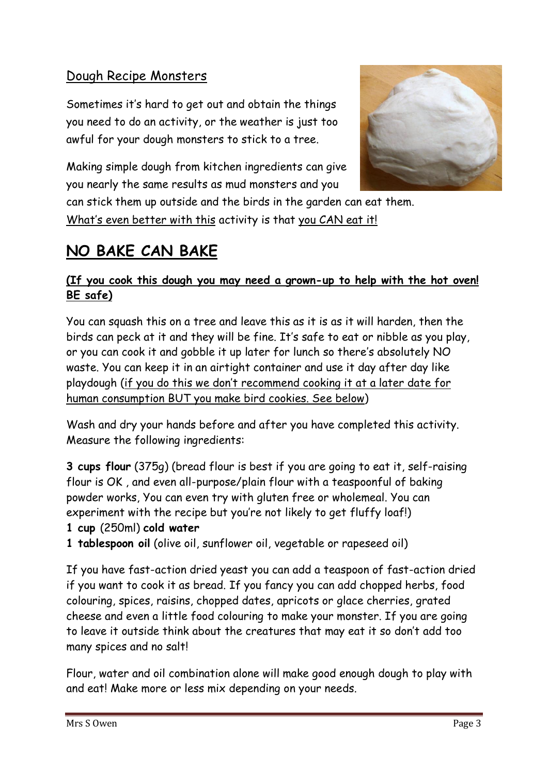## Dough Recipe Monsters

Sometimes it's hard to get out and obtain the things you need to do an activity, or the weather is just too awful for your dough monsters to stick to a tree.



can stick them up outside and the birds in the garden can eat them. What's even better with this activity is that you CAN eat it!

# **NO BAKE CAN BAKE**

### **(If you cook this dough you may need a grown-up to help with the hot oven! BE safe)**

You can squash this on a tree and leave this as it is as it will harden, then the birds can peck at it and they will be fine. It's safe to eat or nibble as you play, or you can cook it and gobble it up later for lunch so there's absolutely NO waste. You can keep it in an airtight container and use it day after day like playdough (if you do this we don't recommend cooking it at a later date for human consumption BUT you make bird cookies. See below)

Wash and dry your hands before and after you have completed this activity. Measure the following ingredients:

**3 cups flour** (375g) (bread flour is best if you are going to eat it, self-raising flour is OK , and even all-purpose/plain flour with a teaspoonful of baking powder works, You can even try with gluten free or wholemeal. You can experiment with the recipe but you're not likely to get fluffy loaf!)

- **1 cup** (250ml) **cold water**
- **1 tablespoon oil** (olive oil, sunflower oil, vegetable or rapeseed oil)

If you have fast-action dried yeast you can add a teaspoon of fast-action dried if you want to cook it as bread. If you fancy you can add chopped herbs, food colouring, spices, raisins, chopped dates, apricots or glace cherries, grated cheese and even a little food colouring to make your monster. If you are going to leave it outside think about the creatures that may eat it so don't add too many spices and no salt!

Flour, water and oil combination alone will make good enough dough to play with and eat! Make more or less mix depending on your needs.